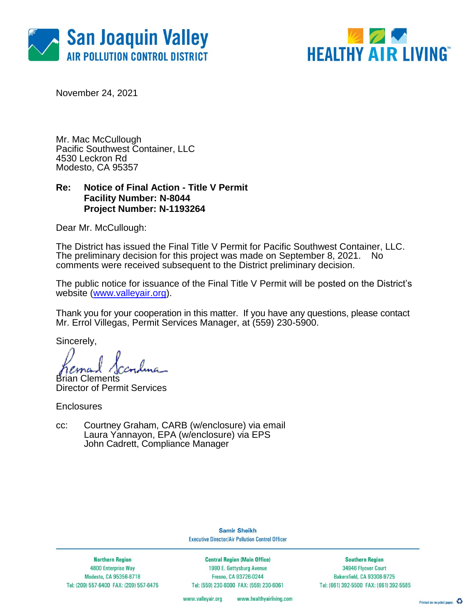



November 24, 2021

Mr. Mac McCullough Pacific Southwest Container, LLC 4530 Leckron Rd Modesto, CA 95357

### **Re: Notice of Final Action - Title V Permit Facility Number: N-8044 Project Number: N-1193264**

Dear Mr. McCullough:

The District has issued the Final Title V Permit for Pacific Southwest Container, LLC. The preliminary decision for this project was made on September 8, 2021. No comments were received subsequent to the District preliminary decision.

The public notice for issuance of the Final Title V Permit will be posted on the District's website [\(www.valleyair.org\)](http://www.valleyair.org/).

Thank you for your cooperation in this matter. If you have any questions, please contact Mr. Errol Villegas, Permit Services Manager, at (559) 230-5900.

Sincerely,

Brian Clements

Director of Permit Services

**Enclosures** 

cc: Courtney Graham, CARB (w/enclosure) via email Laura Yannayon, EPA (w/enclosure) via EPS John Cadrett, Compliance Manager

> **Samir Sheikh Executive Director/Air Pollution Control Officer**

**Northern Region** 4800 Enterprise Way Modesto, CA 95356-8718 Tel: (209) 557-6400 FAX: (209) 557-6475

**Central Region (Main Office)** 1990 E. Gettysburg Avenue Fresno, CA 93726-0244 Tel: (559) 230-6000 FAX: (559) 230-6061

**Southern Region** 34946 Flyover Court Bakersfield, CA 93308-9725 Tel: (661) 392-5500 FAX: (661) 392-5585

www.valleyair.org www.healthyairliving.com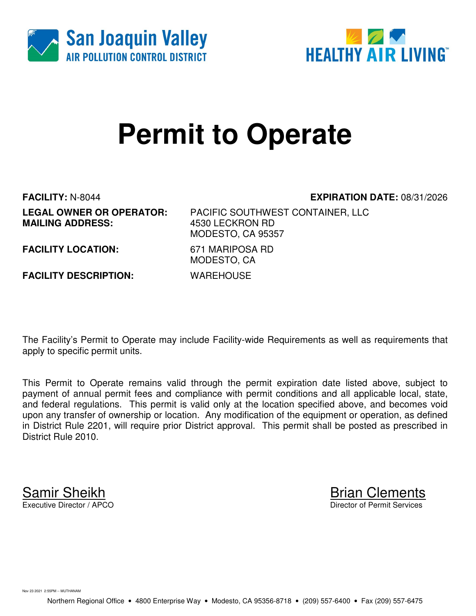



# **Permit to Operate**

**MAILING ADDRESS:** 

**FACILITY:** N-8044 **EXPIRATION DATE:** 08/31/2026

**LEGAL OWNER OR OPERATOR:** PACIFIC SOUTHWEST CONTAINER, LLC MODESTO, CA 95357 MODESTO, CA

**FACILITY LOCATION:** 671 MARIPOSA RD

**FACILITY DESCRIPTION:** WAREHOUSE

The Facility's Permit to Operate may include Facility-wide Requirements as well as requirements that apply to specific permit units.

This Permit to Operate remains valid through the permit expiration date listed above, subject to payment of annual permit fees and compliance with permit conditions and all applicable local, state, and federal regulations. This permit is valid only at the location specified above, and becomes void upon any transfer of ownership or location. Any modification of the equipment or operation, as defined in District Rule 2201, will require prior District approval. This permit shall be posted as prescribed in District Rule 2010.

**Samir Sheikh**<br>Executive Director / APCO

Director of Permit Services

Nov 23 2021 2:55PM -- MUTHANAM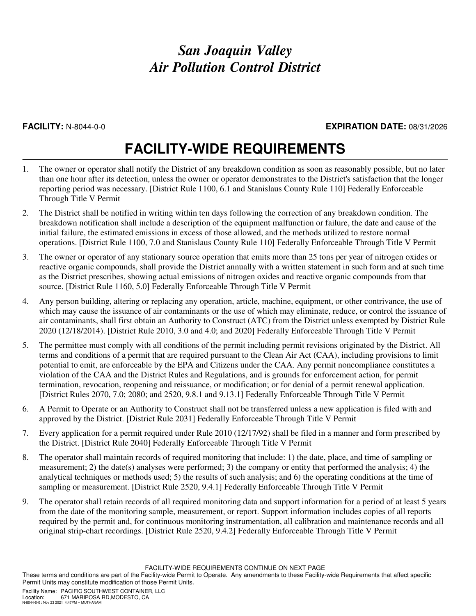### **FACILITY:** N-8044-0-0 **EXPIRATION DATE:** 08/31/2026

## **FACILITY-WIDE REQUIREMENTS**

- 1. The owner or operator shall notify the District of any breakdown condition as soon as reasonably possible, but no later than one hour after its detection, unless the owner or operator demonstrates to the District's satisfaction that the longer reporting period was necessary. [District Rule 1100, 6.1 and Stanislaus County Rule 110] Federally Enforceable Through Title V Permit
- 2. The District shall be notified in writing within ten days following the correction of any breakdown condition. The breakdown notification shall include a description of the equipment malfunction or failure, the date and cause of the initial failure, the estimated emissions in excess of those allowed, and the methods utilized to restore normal operations. [District Rule 1100, 7.0 and Stanislaus County Rule 110] Federally Enforceable Through Title V Permit
- 3. The owner or operator of any stationary source operation that emits more than 25 tons per year of nitrogen oxides or reactive organic compounds, shall provide the District annually with a written statement in such form and at such time as the District prescribes, showing actual emissions of nitrogen oxides and reactive organic compounds from that source. [District Rule 1160, 5.0] Federally Enforceable Through Title V Permit
- 4. Any person building, altering or replacing any operation, article, machine, equipment, or other contrivance, the use of which may cause the issuance of air contaminants or the use of which may eliminate, reduce, or control the issuance of air contaminants, shall first obtain an Authority to Construct (ATC) from the District unless exempted by District Rule 2020 (12/18/2014). [District Rule 2010, 3.0 and 4.0; and 2020] Federally Enforceable Through Title V Permit
- 5. The permittee must comply with all conditions of the permit including permit revisions originated by the District. All terms and conditions of a permit that are required pursuant to the Clean Air Act (CAA), including provisions to limit potential to emit, are enforceable by the EPA and Citizens under the CAA. Any permit noncompliance constitutes a violation of the CAA and the District Rules and Regulations, and is grounds for enforcement action, for permit termination, revocation, reopening and reissuance, or modification; or for denial of a permit renewal application. [District Rules 2070, 7.0; 2080; and 2520, 9.8.1 and 9.13.1] Federally Enforceable Through Title V Permit
- 6. A Permit to Operate or an Authority to Construct shall not be transferred unless a new application is filed with and approved by the District. [District Rule 2031] Federally Enforceable Through Title V Permit
- 7. Every application for a permit required under Rule 2010 (12/17/92) shall be filed in a manner and form prescribed by the District. [District Rule 2040] Federally Enforceable Through Title V Permit
- 8. The operator shall maintain records of required monitoring that include: 1) the date, place, and time of sampling or measurement; 2) the date(s) analyses were performed; 3) the company or entity that performed the analysis; 4) the analytical techniques or methods used; 5) the results of such analysis; and 6) the operating conditions at the time of sampling or measurement. [District Rule 2520, 9.4.1] Federally Enforceable Through Title V Permit
- 9. The operator shall retain records of all required monitoring data and support information for a period of at least 5 years from the date of the monitoring sample, measurement, or report. Support information includes copies of all reports required by the permit and, for continuous monitoring instrumentation, all calibration and maintenance records and all original strip-chart recordings. [District Rule 2520, 9.4.2] Federally Enforceable Through Title V Permit

FACILITY-WIDE REQUIREMENTS CONTINUE ON NEXT PAGE

These terms and conditions are part of the Facility-wide Permit to Operate. Any amendments to these Facility-wide Requirements that affect specific Permit Units may constitute modification of those Permit Units.

Facility Name: PACIFIC SOUTHWEST CONTAINER, LLC Location: 671 MARIPOSA RD,MODESTO, CA N-8044-0-0 : Nov 23 2021 4:47PM -- MUTHANAM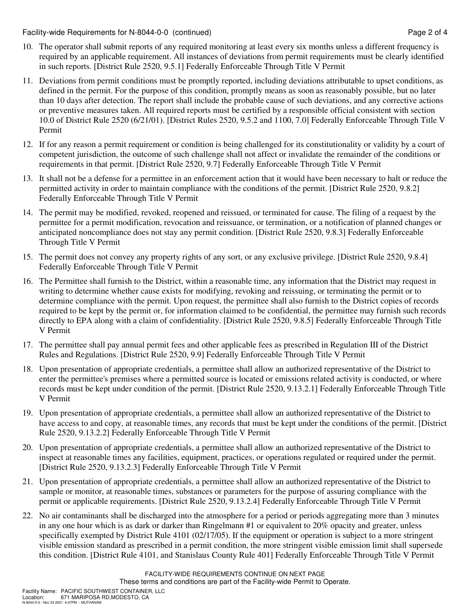Facility-wide Requirements for N-8044-0-0 (continued) Page 2 of 4

- 10. The operator shall submit reports of any required monitoring at least every six months unless a different frequency is required by an applicable requirement. All instances of deviations from permit requirements must be clearly identified in such reports. [District Rule 2520, 9.5.1] Federally Enforceable Through Title V Permit
- 11. Deviations from permit conditions must be promptly reported, including deviations attributable to upset conditions, as defined in the permit. For the purpose of this condition, promptly means as soon as reasonably possible, but no later than 10 days after detection. The report shall include the probable cause of such deviations, and any corrective actions or preventive measures taken. All required reports must be certified by a responsible official consistent with section 10.0 of District Rule 2520 (6/21/01). [District Rules 2520, 9.5.2 and 1100, 7.0] Federally Enforceable Through Title V Permit
- 12. If for any reason a permit requirement or condition is being challenged for its constitutionality or validity by a court of competent jurisdiction, the outcome of such challenge shall not affect or invalidate the remainder of the conditions or requirements in that permit. [District Rule 2520, 9.7] Federally Enforceable Through Title V Permit
- 13. It shall not be a defense for a permittee in an enforcement action that it would have been necessary to halt or reduce the permitted activity in order to maintain compliance with the conditions of the permit. [District Rule 2520, 9.8.2] Federally Enforceable Through Title V Permit
- 14. The permit may be modified, revoked, reopened and reissued, or terminated for cause. The filing of a request by the permittee for a permit modification, revocation and reissuance, or termination, or a notification of planned changes or anticipated noncompliance does not stay any permit condition. [District Rule 2520, 9.8.3] Federally Enforceable Through Title V Permit
- 15. The permit does not convey any property rights of any sort, or any exclusive privilege. [District Rule 2520, 9.8.4] Federally Enforceable Through Title V Permit
- 16. The Permittee shall furnish to the District, within a reasonable time, any information that the District may request in writing to determine whether cause exists for modifying, revoking and reissuing, or terminating the permit or to determine compliance with the permit. Upon request, the permittee shall also furnish to the District copies of records required to be kept by the permit or, for information claimed to be confidential, the permittee may furnish such records directly to EPA along with a claim of confidentiality. [District Rule 2520, 9.8.5] Federally Enforceable Through Title V Permit
- 17. The permittee shall pay annual permit fees and other applicable fees as prescribed in Regulation III of the District Rules and Regulations. [District Rule 2520, 9.9] Federally Enforceable Through Title V Permit
- 18. Upon presentation of appropriate credentials, a permittee shall allow an authorized representative of the District to enter the permittee's premises where a permitted source is located or emissions related activity is conducted, or where records must be kept under condition of the permit. [District Rule 2520, 9.13.2.1] Federally Enforceable Through Title V Permit
- 19. Upon presentation of appropriate credentials, a permittee shall allow an authorized representative of the District to have access to and copy, at reasonable times, any records that must be kept under the conditions of the permit. [District Rule 2520, 9.13.2.2] Federally Enforceable Through Title V Permit
- 20. Upon presentation of appropriate credentials, a permittee shall allow an authorized representative of the District to inspect at reasonable times any facilities, equipment, practices, or operations regulated or required under the permit. [District Rule 2520, 9.13.2.3] Federally Enforceable Through Title V Permit
- 21. Upon presentation of appropriate credentials, a permittee shall allow an authorized representative of the District to sample or monitor, at reasonable times, substances or parameters for the purpose of assuring compliance with the permit or applicable requirements. [District Rule 2520, 9.13.2.4] Federally Enforceable Through Title V Permit
- 22. No air contaminants shall be discharged into the atmosphere for a period or periods aggregating more than 3 minutes in any one hour which is as dark or darker than Ringelmann #1 or equivalent to 20% opacity and greater, unless specifically exempted by District Rule 4101 (02/17/05). If the equipment or operation is subject to a more stringent visible emission standard as prescribed in a permit condition, the more stringent visible emission limit shall supersede this condition. [District Rule 4101, and Stanislaus County Rule 401] Federally Enforceable Through Title V Permit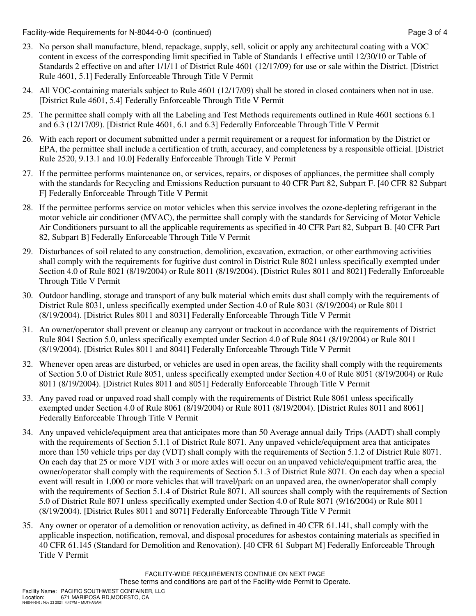Facility-wide Requirements for N-8044-0-0 (continued) Page 3 of 4

- 23. No person shall manufacture, blend, repackage, supply, sell, solicit or apply any architectural coating with a VOC content in excess of the corresponding limit specified in Table of Standards 1 effective until 12/30/10 or Table of Standards 2 effective on and after 1/1/11 of District Rule 4601 (12/17/09) for use or sale within the District. [District Rule 4601, 5.1] Federally Enforceable Through Title V Permit
- 24. All VOC-containing materials subject to Rule 4601 (12/17/09) shall be stored in closed containers when not in use. [District Rule 4601, 5.4] Federally Enforceable Through Title V Permit
- 25. The permittee shall comply with all the Labeling and Test Methods requirements outlined in Rule 4601 sections 6.1 and 6.3 (12/17/09). [District Rule 4601, 6.1 and 6.3] Federally Enforceable Through Title V Permit
- 26. With each report or document submitted under a permit requirement or a request for information by the District or EPA, the permittee shall include a certification of truth, accuracy, and completeness by a responsible official. [District Rule 2520, 9.13.1 and 10.0] Federally Enforceable Through Title V Permit
- 27. If the permittee performs maintenance on, or services, repairs, or disposes of appliances, the permittee shall comply with the standards for Recycling and Emissions Reduction pursuant to 40 CFR Part 82, Subpart F. [40 CFR 82 Subpart F] Federally Enforceable Through Title V Permit
- 28. If the permittee performs service on motor vehicles when this service involves the ozone-depleting refrigerant in the motor vehicle air conditioner (MVAC), the permittee shall comply with the standards for Servicing of Motor Vehicle Air Conditioners pursuant to all the applicable requirements as specified in 40 CFR Part 82, Subpart B. [40 CFR Part 82, Subpart B] Federally Enforceable Through Title V Permit
- 29. Disturbances of soil related to any construction, demolition, excavation, extraction, or other earthmoving activities shall comply with the requirements for fugitive dust control in District Rule 8021 unless specifically exempted under Section 4.0 of Rule 8021 (8/19/2004) or Rule 8011 (8/19/2004). [District Rules 8011 and 8021] Federally Enforceable Through Title V Permit
- 30. Outdoor handling, storage and transport of any bulk material which emits dust shall comply with the requirements of District Rule 8031, unless specifically exempted under Section 4.0 of Rule 8031 (8/19/2004) or Rule 8011 (8/19/2004). [District Rules 8011 and 8031] Federally Enforceable Through Title V Permit
- 31. An owner/operator shall prevent or cleanup any carryout or trackout in accordance with the requirements of District Rule 8041 Section 5.0, unless specifically exempted under Section 4.0 of Rule 8041 (8/19/2004) or Rule 8011 (8/19/2004). [District Rules 8011 and 8041] Federally Enforceable Through Title V Permit
- 32. Whenever open areas are disturbed, or vehicles are used in open areas, the facility shall comply with the requirements of Section 5.0 of District Rule 8051, unless specifically exempted under Section 4.0 of Rule 8051 (8/19/2004) or Rule 8011 (8/19/2004). [District Rules 8011 and 8051] Federally Enforceable Through Title V Permit
- 33. Any paved road or unpaved road shall comply with the requirements of District Rule 8061 unless specifically exempted under Section 4.0 of Rule 8061 (8/19/2004) or Rule 8011 (8/19/2004). [District Rules 8011 and 8061] Federally Enforceable Through Title V Permit
- 34. Any unpaved vehicle/equipment area that anticipates more than 50 Average annual daily Trips (AADT) shall comply with the requirements of Section 5.1.1 of District Rule 8071. Any unpaved vehicle/equipment area that anticipates more than 150 vehicle trips per day (VDT) shall comply with the requirements of Section 5.1.2 of District Rule 8071. On each day that 25 or more VDT with 3 or more axles will occur on an unpaved vehicle/equipment traffic area, the owner/operator shall comply with the requirements of Section 5.1.3 of District Rule 8071. On each day when a special event will result in 1,000 or more vehicles that will travel/park on an unpaved area, the owner/operator shall comply with the requirements of Section 5.1.4 of District Rule 8071. All sources shall comply with the requirements of Section 5.0 of District Rule 8071 unless specifically exempted under Section 4.0 of Rule 8071 (9/16/2004) or Rule 8011 (8/19/2004). [District Rules 8011 and 8071] Federally Enforceable Through Title V Permit
- 35. Any owner or operator of a demolition or renovation activity, as defined in 40 CFR 61.141, shall comply with the applicable inspection, notification, removal, and disposal procedures for asbestos containing materials as specified in 40 CFR 61.145 (Standard for Demolition and Renovation). [40 CFR 61 Subpart M] Federally Enforceable Through Title V Permit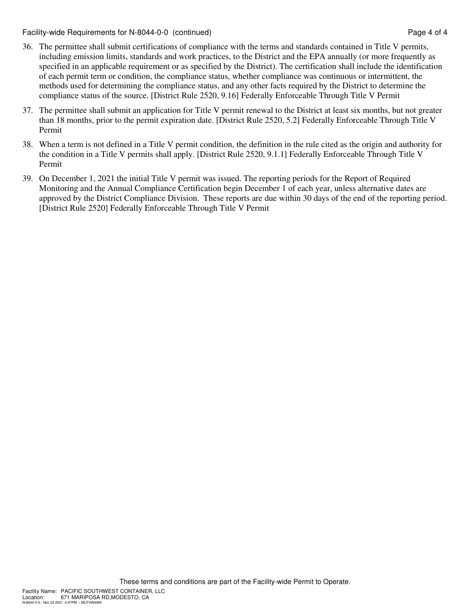Facility-wide Requirements for N-8044-0-0 (continued) Page 4 of 4

- 36. The permittee shall submit certifications of compliance with the terms and standards contained in Title V permits, including emission limits, standards and work practices, to the District and the EPA annually (or more frequently as specified in an applicable requirement or as specified by the District). The certification shall include the identification of each permit term or condition, the compliance status, whether compliance was continuous or intermittent, the methods used for determining the compliance status, and any other facts required by the District to determine the compliance status of the source. [District Rule 2520, 9.16] Federally Enforceable Through Title V Permit
- 37. The permittee shall submit an application for Title V permit renewal to the District at least six months, but not greater than 18 months, prior to the permit expiration date. [District Rule 2520, 5.2] Federally Enforceable Through Title V Permit
- 38. When a term is not defined in a Title V permit condition, the definition in the rule cited as the origin and authority for the condition in a Title V permits shall apply. [District Rule 2520, 9.1.1] Federally Enforceable Through Title V Permit
- 39. On December 1, 2021 the initial Title V permit was issued. The reporting periods for the Report of Required Monitoring and the Annual Compliance Certification begin December 1 of each year, unless alternative dates are approved by the District Compliance Division. These reports are due within 30 days of the end of the reporting period. [District Rule 2520] Federally Enforceable Through Title V Permit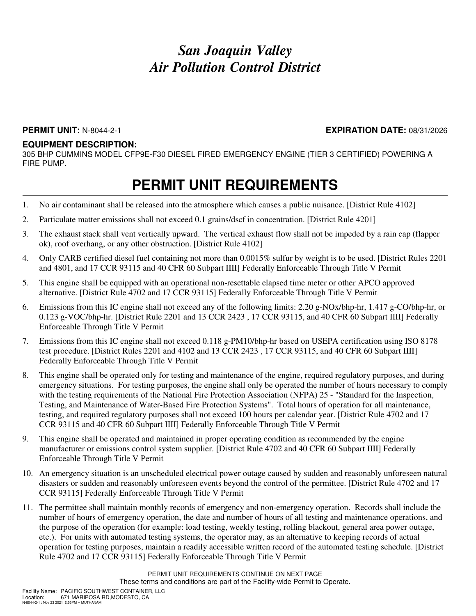### **PERMIT UNIT:** N-8044-2-1 **EXPIRATION DATE:** 08/31/2026

### **EQUIPMENT DESCRIPTION:**

305 BHP CUMMINS MODEL CFP9E-F30 DIESEL FIRED EMERGENCY ENGINE (TIER 3 CERTIFIED) POWERING A FIRE PUMP.

- 1. No air contaminant shall be released into the atmosphere which causes a public nuisance. [District Rule 4102]
- 2. Particulate matter emissions shall not exceed 0.1 grains/dscf in concentration. [District Rule 4201]
- 3. The exhaust stack shall vent vertically upward. The vertical exhaust flow shall not be impeded by a rain cap (flapper ok), roof overhang, or any other obstruction. [District Rule 4102]
- 4. Only CARB certified diesel fuel containing not more than 0.0015% sulfur by weight is to be used. [District Rules 2201 and 4801, and 17 CCR 93115 and 40 CFR 60 Subpart IIII] Federally Enforceable Through Title V Permit
- 5. This engine shall be equipped with an operational non-resettable elapsed time meter or other APCO approved alternative. [District Rule 4702 and 17 CCR 93115] Federally Enforceable Through Title V Permit
- 6. Emissions from this IC engine shall not exceed any of the following limits: 2.20 g-NOx/bhp-hr, 1.417 g-CO/bhp-hr, or 0.123 g-VOC/bhp-hr. [District Rule 2201 and 13 CCR 2423 , 17 CCR 93115, and 40 CFR 60 Subpart IIII] Federally Enforceable Through Title V Permit
- 7. Emissions from this IC engine shall not exceed 0.118 g-PM10/bhp-hr based on USEPA certification using ISO 8178 test procedure. [District Rules 2201 and 4102 and 13 CCR 2423 , 17 CCR 93115, and 40 CFR 60 Subpart IIII] Federally Enforceable Through Title V Permit
- 8. This engine shall be operated only for testing and maintenance of the engine, required regulatory purposes, and during emergency situations. For testing purposes, the engine shall only be operated the number of hours necessary to comply with the testing requirements of the National Fire Protection Association (NFPA) 25 - "Standard for the Inspection, Testing, and Maintenance of Water-Based Fire Protection Systems". Total hours of operation for all maintenance, testing, and required regulatory purposes shall not exceed 100 hours per calendar year. [District Rule 4702 and 17 CCR 93115 and 40 CFR 60 Subpart IIII] Federally Enforceable Through Title V Permit
- 9. This engine shall be operated and maintained in proper operating condition as recommended by the engine manufacturer or emissions control system supplier. [District Rule 4702 and 40 CFR 60 Subpart IIII] Federally Enforceable Through Title V Permit
- 10. An emergency situation is an unscheduled electrical power outage caused by sudden and reasonably unforeseen natural disasters or sudden and reasonably unforeseen events beyond the control of the permittee. [District Rule 4702 and 17 CCR 93115] Federally Enforceable Through Title V Permit
- 11. The permittee shall maintain monthly records of emergency and non-emergency operation. Records shall include the number of hours of emergency operation, the date and number of hours of all testing and maintenance operations, and the purpose of the operation (for example: load testing, weekly testing, rolling blackout, general area power outage, etc.). For units with automated testing systems, the operator may, as an alternative to keeping records of actual operation for testing purposes, maintain a readily accessible written record of the automated testing schedule. [District Rule 4702 and 17 CCR 93115] Federally Enforceable Through Title V Permit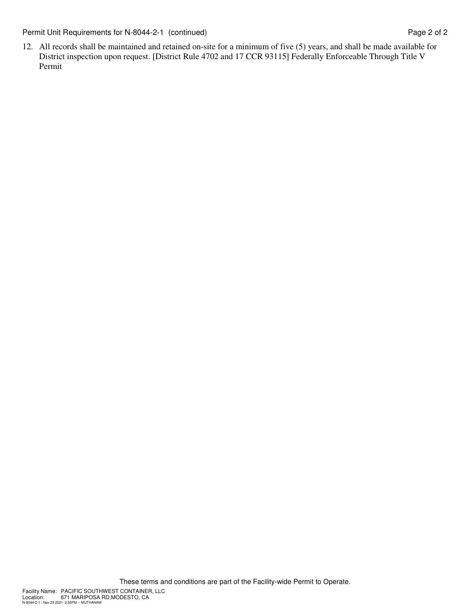Permit Unit Requirements for N-8044-2-1 (continued) Page 2 of 2

12. All records shall be maintained and retained on-site for a minimum of five (5) years, and shall be made available for District inspection upon request. [District Rule 4702 and 17 CCR 93115] Federally Enforceable Through Title V Permit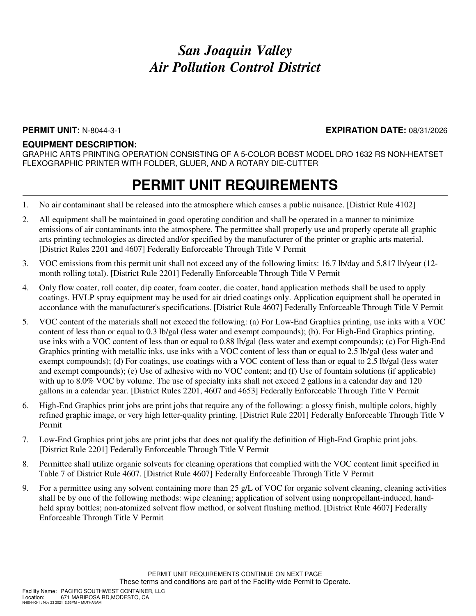### **PERMIT UNIT:** N-8044-3-1 **EXPIRATION DATE:** 08/31/2026

#### **EQUIPMENT DESCRIPTION:**

GRAPHIC ARTS PRINTING OPERATION CONSISTING OF A 5-COLOR BOBST MODEL DRO 1632 RS NON-HEATSET FLEXOGRAPHIC PRINTER WITH FOLDER, GLUER, AND A ROTARY DIE-CUTTER

- 1. No air contaminant shall be released into the atmosphere which causes a public nuisance. [District Rule 4102]
- 2. All equipment shall be maintained in good operating condition and shall be operated in a manner to minimize emissions of air contaminants into the atmosphere. The permittee shall properly use and properly operate all graphic arts printing technologies as directed and/or specified by the manufacturer of the printer or graphic arts material. [District Rules 2201 and 4607] Federally Enforceable Through Title V Permit
- 3. VOC emissions from this permit unit shall not exceed any of the following limits: 16.7 lb/day and 5,817 lb/year (12 month rolling total). [District Rule 2201] Federally Enforceable Through Title V Permit
- 4. Only flow coater, roll coater, dip coater, foam coater, die coater, hand application methods shall be used to apply coatings. HVLP spray equipment may be used for air dried coatings only. Application equipment shall be operated in accordance with the manufacturer's specifications. [District Rule 4607] Federally Enforceable Through Title V Permit
- 5. VOC content of the materials shall not exceed the following: (a) For Low-End Graphics printing, use inks with a VOC content of less than or equal to 0.3 lb/gal (less water and exempt compounds); (b). For High-End Graphics printing, use inks with a VOC content of less than or equal to 0.88 lb/gal (less water and exempt compounds); (c) For High-End Graphics printing with metallic inks, use inks with a VOC content of less than or equal to 2.5 lb/gal (less water and exempt compounds); (d) For coatings, use coatings with a VOC content of less than or equal to 2.5 lb/gal (less water and exempt compounds); (e) Use of adhesive with no VOC content; and (f) Use of fountain solutions (if applicable) with up to 8.0% VOC by volume. The use of specialty inks shall not exceed 2 gallons in a calendar day and 120 gallons in a calendar year. [District Rules 2201, 4607 and 4653] Federally Enforceable Through Title V Permit
- 6. High-End Graphics print jobs are print jobs that require any of the following: a glossy finish, multiple colors, highly refined graphic image, or very high letter-quality printing. [District Rule 2201] Federally Enforceable Through Title V Permit
- 7. Low-End Graphics print jobs are print jobs that does not qualify the definition of High-End Graphic print jobs. [District Rule 2201] Federally Enforceable Through Title V Permit
- 8. Permittee shall utilize organic solvents for cleaning operations that complied with the VOC content limit specified in Table 7 of District Rule 4607. [District Rule 4607] Federally Enforceable Through Title V Permit
- 9. For a permittee using any solvent containing more than 25 g/L of VOC for organic solvent cleaning, cleaning activities shall be by one of the following methods: wipe cleaning; application of solvent using nonpropellant-induced, handheld spray bottles; non-atomized solvent flow method, or solvent flushing method. [District Rule 4607] Federally Enforceable Through Title V Permit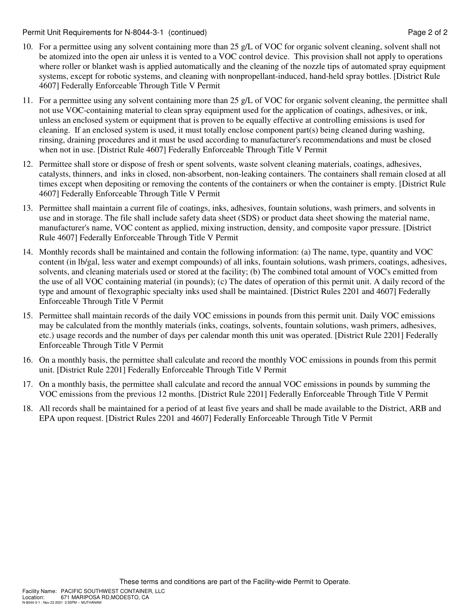Permit Unit Requirements for N-8044-3-1 (continued) **Page 2** of 2

- 10. For a permittee using any solvent containing more than 25 g/L of VOC for organic solvent cleaning, solvent shall not be atomized into the open air unless it is vented to a VOC control device. This provision shall not apply to operations where roller or blanket wash is applied automatically and the cleaning of the nozzle tips of automated spray equipment systems, except for robotic systems, and cleaning with nonpropellant-induced, hand-held spray bottles. [District Rule 4607] Federally Enforceable Through Title V Permit
- 11. For a permittee using any solvent containing more than 25 g/L of VOC for organic solvent cleaning, the permittee shall not use VOC-containing material to clean spray equipment used for the application of coatings, adhesives, or ink, unless an enclosed system or equipment that is proven to be equally effective at controlling emissions is used for cleaning. If an enclosed system is used, it must totally enclose component part(s) being cleaned during washing, rinsing, draining procedures and it must be used according to manufacturer's recommendations and must be closed when not in use. [District Rule 4607] Federally Enforceable Through Title V Permit
- 12. Permittee shall store or dispose of fresh or spent solvents, waste solvent cleaning materials, coatings, adhesives, catalysts, thinners, and inks in closed, non-absorbent, non-leaking containers. The containers shall remain closed at all times except when depositing or removing the contents of the containers or when the container is empty. [District Rule 4607] Federally Enforceable Through Title V Permit
- 13. Permittee shall maintain a current file of coatings, inks, adhesives, fountain solutions, wash primers, and solvents in use and in storage. The file shall include safety data sheet (SDS) or product data sheet showing the material name, manufacturer's name, VOC content as applied, mixing instruction, density, and composite vapor pressure. [District Rule 4607] Federally Enforceable Through Title V Permit
- 14. Monthly records shall be maintained and contain the following information: (a) The name, type, quantity and VOC content (in lb/gal, less water and exempt compounds) of all inks, fountain solutions, wash primers, coatings, adhesives, solvents, and cleaning materials used or stored at the facility; (b) The combined total amount of VOC's emitted from the use of all VOC containing material (in pounds); (c) The dates of operation of this permit unit. A daily record of the type and amount of flexographic specialty inks used shall be maintained. [District Rules 2201 and 4607] Federally Enforceable Through Title V Permit
- 15. Permittee shall maintain records of the daily VOC emissions in pounds from this permit unit. Daily VOC emissions may be calculated from the monthly materials (inks, coatings, solvents, fountain solutions, wash primers, adhesives, etc.) usage records and the number of days per calendar month this unit was operated. [District Rule 2201] Federally Enforceable Through Title V Permit
- 16. On a monthly basis, the permittee shall calculate and record the monthly VOC emissions in pounds from this permit unit. [District Rule 2201] Federally Enforceable Through Title V Permit
- 17. On a monthly basis, the permittee shall calculate and record the annual VOC emissions in pounds by summing the VOC emissions from the previous 12 months. [District Rule 2201] Federally Enforceable Through Title V Permit
- 18. All records shall be maintained for a period of at least five years and shall be made available to the District, ARB and EPA upon request. [District Rules 2201 and 4607] Federally Enforceable Through Title V Permit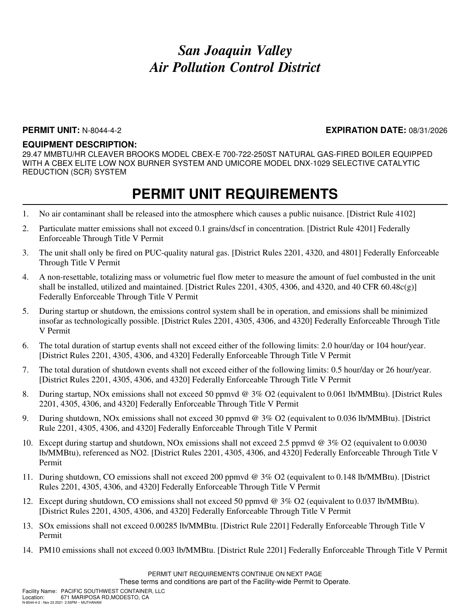#### **PERMIT UNIT:** N-8044-4-2 **EXPIRATION DATE:** 08/31/2026

#### **EQUIPMENT DESCRIPTION:**

29.47 MMBTU/HR CLEAVER BROOKS MODEL CBEX-E 700-722-250ST NATURAL GAS-FIRED BOILER EQUIPPED WITH A CBEX ELITE LOW NOX BURNER SYSTEM AND UMICORE MODEL DNX-1029 SELECTIVE CATALYTIC REDUCTION (SCR) SYSTEM

- 1. No air contaminant shall be released into the atmosphere which causes a public nuisance. [District Rule 4102]
- 2. Particulate matter emissions shall not exceed 0.1 grains/dscf in concentration. [District Rule 4201] Federally Enforceable Through Title V Permit
- 3. The unit shall only be fired on PUC-quality natural gas. [District Rules 2201, 4320, and 4801] Federally Enforceable Through Title V Permit
- 4. A non-resettable, totalizing mass or volumetric fuel flow meter to measure the amount of fuel combusted in the unit shall be installed, utilized and maintained. [District Rules 2201, 4305, 4306, and 4320, and 40 CFR 60.48 $c(g)$ ] Federally Enforceable Through Title V Permit
- 5. During startup or shutdown, the emissions control system shall be in operation, and emissions shall be minimized insofar as technologically possible. [District Rules 2201, 4305, 4306, and 4320] Federally Enforceable Through Title V Permit
- 6. The total duration of startup events shall not exceed either of the following limits: 2.0 hour/day or 104 hour/year. [District Rules 2201, 4305, 4306, and 4320] Federally Enforceable Through Title V Permit
- 7. The total duration of shutdown events shall not exceed either of the following limits: 0.5 hour/day or 26 hour/year. [District Rules 2201, 4305, 4306, and 4320] Federally Enforceable Through Title V Permit
- 8. During startup, NOx emissions shall not exceed 50 ppmvd @ 3% O2 (equivalent to 0.061 lb/MMBtu). [District Rules 2201, 4305, 4306, and 4320] Federally Enforceable Through Title V Permit
- 9. During shutdown, NOx emissions shall not exceed 30 ppmvd @ 3% O2 (equivalent to 0.036 lb/MMBtu). [District Rule 2201, 4305, 4306, and 4320] Federally Enforceable Through Title V Permit
- 10. Except during startup and shutdown, NOx emissions shall not exceed 2.5 ppmvd @ 3% O2 (equivalent to 0.0030 lb/MMBtu), referenced as NO2. [District Rules 2201, 4305, 4306, and 4320] Federally Enforceable Through Title V Permit
- 11. During shutdown, CO emissions shall not exceed 200 ppmvd @ 3% O2 (equivalent to 0.148 lb/MMBtu). [District Rules 2201, 4305, 4306, and 4320] Federally Enforceable Through Title V Permit
- 12. Except during shutdown, CO emissions shall not exceed 50 ppmvd @ 3% O2 (equivalent to 0.037 lb/MMBtu). [District Rules 2201, 4305, 4306, and 4320] Federally Enforceable Through Title V Permit
- 13. SOx emissions shall not exceed 0.00285 lb/MMBtu. [District Rule 2201] Federally Enforceable Through Title V Permit
- 14. PM10 emissions shall not exceed 0.003 lb/MMBtu. [District Rule 2201] Federally Enforceable Through Title V Permit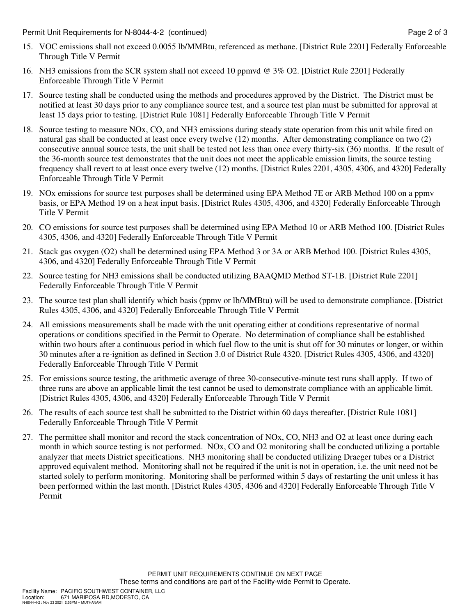- 15. VOC emissions shall not exceed 0.0055 lb/MMBtu, referenced as methane. [District Rule 2201] Federally Enforceable Through Title V Permit
- 16. NH3 emissions from the SCR system shall not exceed 10 ppmvd @ 3% O2. [District Rule 2201] Federally Enforceable Through Title V Permit
- 17. Source testing shall be conducted using the methods and procedures approved by the District. The District must be notified at least 30 days prior to any compliance source test, and a source test plan must be submitted for approval at least 15 days prior to testing. [District Rule 1081] Federally Enforceable Through Title V Permit
- 18. Source testing to measure NOx, CO, and NH3 emissions during steady state operation from this unit while fired on natural gas shall be conducted at least once every twelve (12) months. After demonstrating compliance on two (2) consecutive annual source tests, the unit shall be tested not less than once every thirty-six (36) months. If the result of the 36-month source test demonstrates that the unit does not meet the applicable emission limits, the source testing frequency shall revert to at least once every twelve (12) months. [District Rules 2201, 4305, 4306, and 4320] Federally Enforceable Through Title V Permit
- 19. NOx emissions for source test purposes shall be determined using EPA Method 7E or ARB Method 100 on a ppmv basis, or EPA Method 19 on a heat input basis. [District Rules 4305, 4306, and 4320] Federally Enforceable Through Title V Permit
- 20. CO emissions for source test purposes shall be determined using EPA Method 10 or ARB Method 100. [District Rules 4305, 4306, and 4320] Federally Enforceable Through Title V Permit
- 21. Stack gas oxygen (O2) shall be determined using EPA Method 3 or 3A or ARB Method 100. [District Rules 4305, 4306, and 4320] Federally Enforceable Through Title V Permit
- 22. Source testing for NH3 emissions shall be conducted utilizing BAAQMD Method ST-1B. [District Rule 2201] Federally Enforceable Through Title V Permit
- 23. The source test plan shall identify which basis (ppmv or lb/MMBtu) will be used to demonstrate compliance. [District Rules 4305, 4306, and 4320] Federally Enforceable Through Title V Permit
- 24. All emissions measurements shall be made with the unit operating either at conditions representative of normal operations or conditions specified in the Permit to Operate. No determination of compliance shall be established within two hours after a continuous period in which fuel flow to the unit is shut off for 30 minutes or longer, or within 30 minutes after a re-ignition as defined in Section 3.0 of District Rule 4320. [District Rules 4305, 4306, and 4320] Federally Enforceable Through Title V Permit
- 25. For emissions source testing, the arithmetic average of three 30-consecutive-minute test runs shall apply. If two of three runs are above an applicable limit the test cannot be used to demonstrate compliance with an applicable limit. [District Rules 4305, 4306, and 4320] Federally Enforceable Through Title V Permit
- 26. The results of each source test shall be submitted to the District within 60 days thereafter. [District Rule 1081] Federally Enforceable Through Title V Permit
- 27. The permittee shall monitor and record the stack concentration of NOx, CO, NH3 and O2 at least once during each month in which source testing is not performed. NOx, CO and O2 monitoring shall be conducted utilizing a portable analyzer that meets District specifications. NH3 monitoring shall be conducted utilizing Draeger tubes or a District approved equivalent method. Monitoring shall not be required if the unit is not in operation, i.e. the unit need not be started solely to perform monitoring. Monitoring shall be performed within 5 days of restarting the unit unless it has been performed within the last month. [District Rules 4305, 4306 and 4320] Federally Enforceable Through Title V Permit

PERMIT UNIT REQUIREMENTS CONTINUE ON NEXT PAGE These terms and conditions are part of the Facility-wide Permit to Operate.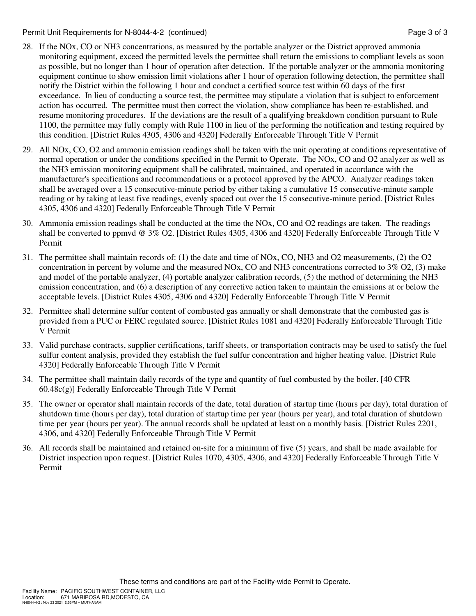Permit Unit Requirements for N-8044-4-2 (continued) **Page 3 of 3** and 2 of 3

- 28. If the NOx, CO or NH3 concentrations, as measured by the portable analyzer or the District approved ammonia monitoring equipment, exceed the permitted levels the permittee shall return the emissions to compliant levels as soon as possible, but no longer than 1 hour of operation after detection. If the portable analyzer or the ammonia monitoring equipment continue to show emission limit violations after 1 hour of operation following detection, the permittee shall notify the District within the following 1 hour and conduct a certified source test within 60 days of the first exceedance. In lieu of conducting a source test, the permittee may stipulate a violation that is subject to enforcement action has occurred. The permittee must then correct the violation, show compliance has been re-established, and resume monitoring procedures. If the deviations are the result of a qualifying breakdown condition pursuant to Rule 1100, the permittee may fully comply with Rule 1100 in lieu of the performing the notification and testing required by this condition. [District Rules 4305, 4306 and 4320] Federally Enforceable Through Title V Permit
- 29. All NOx, CO, O2 and ammonia emission readings shall be taken with the unit operating at conditions representative of normal operation or under the conditions specified in the Permit to Operate. The NOx, CO and O2 analyzer as well as the NH3 emission monitoring equipment shall be calibrated, maintained, and operated in accordance with the manufacturer's specifications and recommendations or a protocol approved by the APCO. Analyzer readings taken shall be averaged over a 15 consecutive-minute period by either taking a cumulative 15 consecutive-minute sample reading or by taking at least five readings, evenly spaced out over the 15 consecutive-minute period. [District Rules 4305, 4306 and 4320] Federally Enforceable Through Title V Permit
- 30. Ammonia emission readings shall be conducted at the time the NOx, CO and O2 readings are taken. The readings shall be converted to ppmvd @ 3% O2. [District Rules 4305, 4306 and 4320] Federally Enforceable Through Title V Permit
- 31. The permittee shall maintain records of: (1) the date and time of NOx, CO, NH3 and O2 measurements, (2) the O2 concentration in percent by volume and the measured NOx, CO and NH3 concentrations corrected to 3% O2, (3) make and model of the portable analyzer, (4) portable analyzer calibration records, (5) the method of determining the NH3 emission concentration, and (6) a description of any corrective action taken to maintain the emissions at or below the acceptable levels. [District Rules 4305, 4306 and 4320] Federally Enforceable Through Title V Permit
- 32. Permittee shall determine sulfur content of combusted gas annually or shall demonstrate that the combusted gas is provided from a PUC or FERC regulated source. [District Rules 1081 and 4320] Federally Enforceable Through Title V Permit
- 33. Valid purchase contracts, supplier certifications, tariff sheets, or transportation contracts may be used to satisfy the fuel sulfur content analysis, provided they establish the fuel sulfur concentration and higher heating value. [District Rule 4320] Federally Enforceable Through Title V Permit
- 34. The permittee shall maintain daily records of the type and quantity of fuel combusted by the boiler. [40 CFR 60.48c(g)] Federally Enforceable Through Title V Permit
- 35. The owner or operator shall maintain records of the date, total duration of startup time (hours per day), total duration of shutdown time (hours per day), total duration of startup time per year (hours per year), and total duration of shutdown time per year (hours per year). The annual records shall be updated at least on a monthly basis. [District Rules 2201, 4306, and 4320] Federally Enforceable Through Title V Permit
- 36. All records shall be maintained and retained on-site for a minimum of five (5) years, and shall be made available for District inspection upon request. [District Rules 1070, 4305, 4306, and 4320] Federally Enforceable Through Title V Permit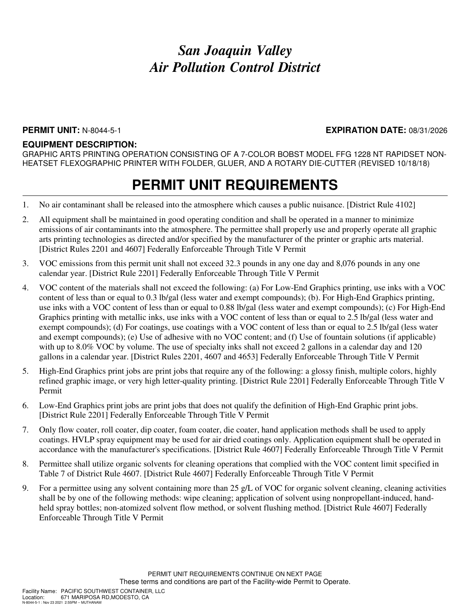### **PERMIT UNIT:** N-8044-5-1 **EXPIRATION DATE:** 08/31/2026

### **EQUIPMENT DESCRIPTION:**

GRAPHIC ARTS PRINTING OPERATION CONSISTING OF A 7-COLOR BOBST MODEL FFG 1228 NT RAPIDSET NON-HEATSET FLEXOGRAPHIC PRINTER WITH FOLDER, GLUER, AND A ROTARY DIE-CUTTER (REVISED 10/18/18)

- 1. No air contaminant shall be released into the atmosphere which causes a public nuisance. [District Rule 4102]
- 2. All equipment shall be maintained in good operating condition and shall be operated in a manner to minimize emissions of air contaminants into the atmosphere. The permittee shall properly use and properly operate all graphic arts printing technologies as directed and/or specified by the manufacturer of the printer or graphic arts material. [District Rules 2201 and 4607] Federally Enforceable Through Title V Permit
- 3. VOC emissions from this permit unit shall not exceed 32.3 pounds in any one day and 8,076 pounds in any one calendar year. [District Rule 2201] Federally Enforceable Through Title V Permit
- 4. VOC content of the materials shall not exceed the following: (a) For Low-End Graphics printing, use inks with a VOC content of less than or equal to 0.3 lb/gal (less water and exempt compounds); (b). For High-End Graphics printing, use inks with a VOC content of less than or equal to 0.88 lb/gal (less water and exempt compounds); (c) For High-End Graphics printing with metallic inks, use inks with a VOC content of less than or equal to 2.5 lb/gal (less water and exempt compounds); (d) For coatings, use coatings with a VOC content of less than or equal to 2.5 lb/gal (less water and exempt compounds); (e) Use of adhesive with no VOC content; and (f) Use of fountain solutions (if applicable) with up to 8.0% VOC by volume. The use of specialty inks shall not exceed 2 gallons in a calendar day and 120 gallons in a calendar year. [District Rules 2201, 4607 and 4653] Federally Enforceable Through Title V Permit
- 5. High-End Graphics print jobs are print jobs that require any of the following: a glossy finish, multiple colors, highly refined graphic image, or very high letter-quality printing. [District Rule 2201] Federally Enforceable Through Title V Permit
- 6. Low-End Graphics print jobs are print jobs that does not qualify the definition of High-End Graphic print jobs. [District Rule 2201] Federally Enforceable Through Title V Permit
- 7. Only flow coater, roll coater, dip coater, foam coater, die coater, hand application methods shall be used to apply coatings. HVLP spray equipment may be used for air dried coatings only. Application equipment shall be operated in accordance with the manufacturer's specifications. [District Rule 4607] Federally Enforceable Through Title V Permit
- 8. Permittee shall utilize organic solvents for cleaning operations that complied with the VOC content limit specified in Table 7 of District Rule 4607. [District Rule 4607] Federally Enforceable Through Title V Permit
- 9. For a permittee using any solvent containing more than 25 g/L of VOC for organic solvent cleaning, cleaning activities shall be by one of the following methods: wipe cleaning; application of solvent using nonpropellant-induced, handheld spray bottles; non-atomized solvent flow method, or solvent flushing method. [District Rule 4607] Federally Enforceable Through Title V Permit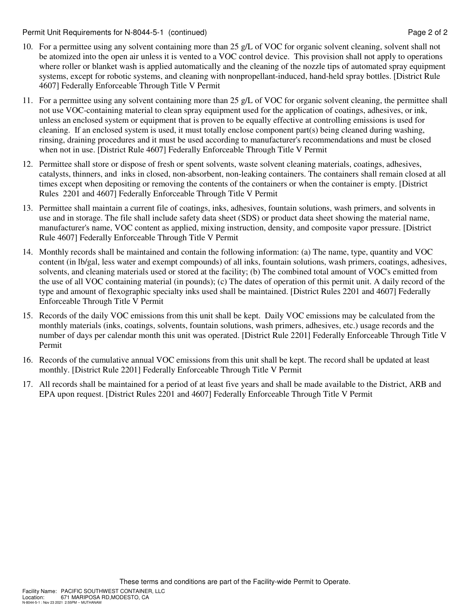Permit Unit Requirements for N-8044-5-1 (continued) **Page 2** of 2

- 10. For a permittee using any solvent containing more than 25 g/L of VOC for organic solvent cleaning, solvent shall not be atomized into the open air unless it is vented to a VOC control device. This provision shall not apply to operations where roller or blanket wash is applied automatically and the cleaning of the nozzle tips of automated spray equipment systems, except for robotic systems, and cleaning with nonpropellant-induced, hand-held spray bottles. [District Rule 4607] Federally Enforceable Through Title V Permit
- 11. For a permittee using any solvent containing more than 25 g/L of VOC for organic solvent cleaning, the permittee shall not use VOC-containing material to clean spray equipment used for the application of coatings, adhesives, or ink, unless an enclosed system or equipment that is proven to be equally effective at controlling emissions is used for cleaning. If an enclosed system is used, it must totally enclose component part(s) being cleaned during washing, rinsing, draining procedures and it must be used according to manufacturer's recommendations and must be closed when not in use. [District Rule 4607] Federally Enforceable Through Title V Permit
- 12. Permittee shall store or dispose of fresh or spent solvents, waste solvent cleaning materials, coatings, adhesives, catalysts, thinners, and inks in closed, non-absorbent, non-leaking containers. The containers shall remain closed at all times except when depositing or removing the contents of the containers or when the container is empty. [District Rules 2201 and 4607] Federally Enforceable Through Title V Permit
- 13. Permittee shall maintain a current file of coatings, inks, adhesives, fountain solutions, wash primers, and solvents in use and in storage. The file shall include safety data sheet (SDS) or product data sheet showing the material name, manufacturer's name, VOC content as applied, mixing instruction, density, and composite vapor pressure. [District Rule 4607] Federally Enforceable Through Title V Permit
- 14. Monthly records shall be maintained and contain the following information: (a) The name, type, quantity and VOC content (in lb/gal, less water and exempt compounds) of all inks, fountain solutions, wash primers, coatings, adhesives, solvents, and cleaning materials used or stored at the facility; (b) The combined total amount of VOC's emitted from the use of all VOC containing material (in pounds); (c) The dates of operation of this permit unit. A daily record of the type and amount of flexographic specialty inks used shall be maintained. [District Rules 2201 and 4607] Federally Enforceable Through Title V Permit
- 15. Records of the daily VOC emissions from this unit shall be kept. Daily VOC emissions may be calculated from the monthly materials (inks, coatings, solvents, fountain solutions, wash primers, adhesives, etc.) usage records and the number of days per calendar month this unit was operated. [District Rule 2201] Federally Enforceable Through Title V Permit
- 16. Records of the cumulative annual VOC emissions from this unit shall be kept. The record shall be updated at least monthly. [District Rule 2201] Federally Enforceable Through Title V Permit
- 17. All records shall be maintained for a period of at least five years and shall be made available to the District, ARB and EPA upon request. [District Rules 2201 and 4607] Federally Enforceable Through Title V Permit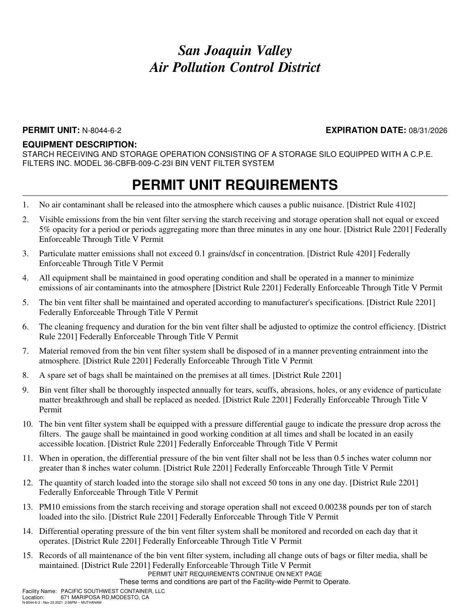### **PERMIT UNIT:** N-8044-6-2 **EXPIRATION DATE:** 08/31/2026

#### **EQUIPMENT DESCRIPTION:**

STARCH RECEIVING AND STORAGE OPERATION CONSISTING OF A STORAGE SILO EQUIPPED WITH A C.P.E. FILTERS INC. MODEL 36-CBFB-009-C-23I BIN VENT FILTER SYSTEM

### **PERMIT UNIT REQUIREMENTS**

- 1. No air contaminant shall be released into the atmosphere which causes a public nuisance. [District Rule 4102]
- 2. Visible emissions from the bin vent filter serving the starch receiving and storage operation shall not equal or exceed 5% opacity for a period or periods aggregating more than three minutes in any one hour. [District Rule 2201] Federally Enforceable Through Title V Permit
- 3. Particulate matter emissions shall not exceed 0.1 grains/dscf in concentration. [District Rule 4201] Federally Enforceable Through Title V Permit
- 4. All equipment shall be maintained in good operating condition and shall be operated in a manner to minimize emissions of air contaminants into the atmosphere [District Rule 2201] Federally Enforceable Through Title V Permit
- 5. The bin vent filter shall be maintained and operated according to manufacturer's specifications. [District Rule 2201] Federally Enforceable Through Title V Permit
- 6. The cleaning frequency and duration for the bin vent filter shall be adjusted to optimize the control efficiency. [District Rule 2201] Federally Enforceable Through Title V Permit
- 7. Material removed from the bin vent filter system shall be disposed of in a manner preventing entrainment into the atmosphere. [District Rule 2201] Federally Enforceable Through Title V Permit
- 8. A spare set of bags shall be maintained on the premises at all times. [District Rule 2201]
- 9. Bin vent filter shall be thoroughly inspected annually for tears, scuffs, abrasions, holes, or any evidence of particulate matter breakthrough and shall be replaced as needed. [District Rule 2201] Federally Enforceable Through Title V Permit
- 10. The bin vent filter system shall be equipped with a pressure differential gauge to indicate the pressure drop across the filters. The gauge shall be maintained in good working condition at all times and shall be located in an easily accessible location. [District Rule 2201] Federally Enforceable Through Title V Permit
- 11. When in operation, the differential pressure of the bin vent filter shall not be less than 0.5 inches water column nor greater than 8 inches water column. [District Rule 2201] Federally Enforceable Through Title V Permit
- 12. The quantity of starch loaded into the storage silo shall not exceed 50 tons in any one day. [District Rule 2201] Federally Enforceable Through Title V Permit
- 13. PM10 emissions from the starch receiving and storage operation shall not exceed 0.00238 pounds per ton of starch loaded into the silo. [District Rule 2201] Federally Enforceable Through Title V Permit
- 14. Differential operating pressure of the bin vent filter system shall be monitored and recorded on each day that it operates. [District Rule 2201] Federally Enforceable Through Title V Permit
- 15. Records of all maintenance of the bin vent filter system, including all change outs of bags or filter media, shall be maintained. [District Rule 2201] Federally Enforceable Through Title V Permit

PERMIT UNIT REQUIREMENTS CONTINUE ON NEXT PAGE

These terms and conditions are part of the Facility-wide Permit to Operate.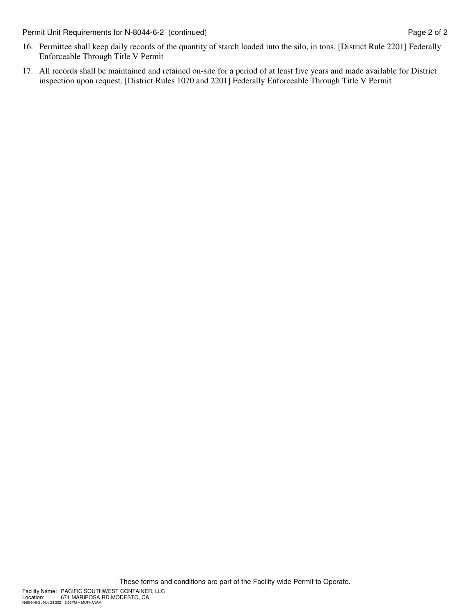Permit Unit Requirements for N-8044-6-2 (continued) Page 2 of 2

- 16. Permittee shall keep daily records of the quantity of starch loaded into the silo, in tons. [District Rule 2201] Federally Enforceable Through Title V Permit
- 17. All records shall be maintained and retained on-site for a period of at least five years and made available for District inspection upon request. [District Rules 1070 and 2201] Federally Enforceable Through Title V Permit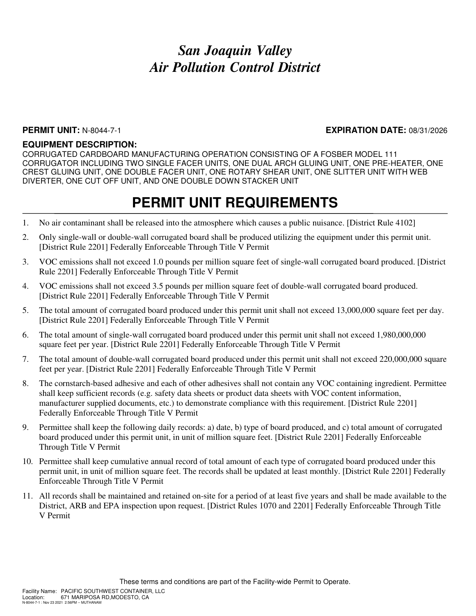#### **PERMIT UNIT:** N-8044-7-1 **EXPIRATION DATE:** 08/31/2026

#### **EQUIPMENT DESCRIPTION:**

CORRUGATED CARDBOARD MANUFACTURING OPERATION CONSISTING OF A FOSBER MODEL 111 CORRUGATOR INCLUDING TWO SINGLE FACER UNITS, ONE DUAL ARCH GLUING UNIT, ONE PRE-HEATER, ONE CREST GLUING UNIT, ONE DOUBLE FACER UNIT, ONE ROTARY SHEAR UNIT, ONE SLITTER UNIT WITH WEB DIVERTER, ONE CUT OFF UNIT, AND ONE DOUBLE DOWN STACKER UNIT

- 1. No air contaminant shall be released into the atmosphere which causes a public nuisance. [District Rule 4102]
- 2. Only single-wall or double-wall corrugated board shall be produced utilizing the equipment under this permit unit. [District Rule 2201] Federally Enforceable Through Title V Permit
- 3. VOC emissions shall not exceed 1.0 pounds per million square feet of single-wall corrugated board produced. [District Rule 2201] Federally Enforceable Through Title V Permit
- 4. VOC emissions shall not exceed 3.5 pounds per million square feet of double-wall corrugated board produced. [District Rule 2201] Federally Enforceable Through Title V Permit
- 5. The total amount of corrugated board produced under this permit unit shall not exceed 13,000,000 square feet per day. [District Rule 2201] Federally Enforceable Through Title V Permit
- 6. The total amount of single-wall corrugated board produced under this permit unit shall not exceed 1,980,000,000 square feet per year. [District Rule 2201] Federally Enforceable Through Title V Permit
- 7. The total amount of double-wall corrugated board produced under this permit unit shall not exceed 220,000,000 square feet per year. [District Rule 2201] Federally Enforceable Through Title V Permit
- 8. The cornstarch-based adhesive and each of other adhesives shall not contain any VOC containing ingredient. Permittee shall keep sufficient records (e.g. safety data sheets or product data sheets with VOC content information, manufacturer supplied documents, etc.) to demonstrate compliance with this requirement. [District Rule 2201] Federally Enforceable Through Title V Permit
- 9. Permittee shall keep the following daily records: a) date, b) type of board produced, and c) total amount of corrugated board produced under this permit unit, in unit of million square feet. [District Rule 2201] Federally Enforceable Through Title V Permit
- 10. Permittee shall keep cumulative annual record of total amount of each type of corrugated board produced under this permit unit, in unit of million square feet. The records shall be updated at least monthly. [District Rule 2201] Federally Enforceable Through Title V Permit
- 11. All records shall be maintained and retained on-site for a period of at least five years and shall be made available to the District, ARB and EPA inspection upon request. [District Rules 1070 and 2201] Federally Enforceable Through Title V Permit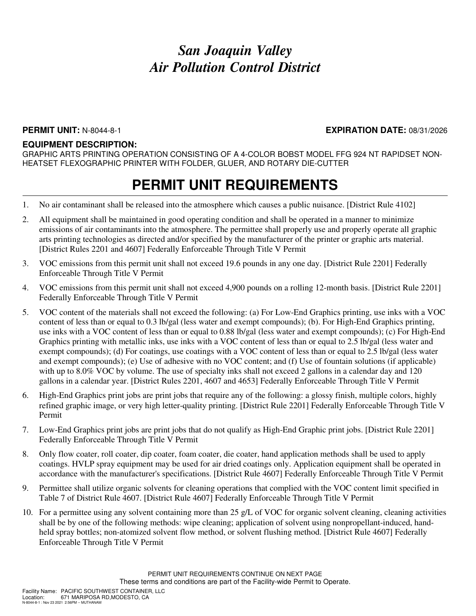### **PERMIT UNIT:** N-8044-8-1 **EXPIRATION DATE:** 08/31/2026

#### **EQUIPMENT DESCRIPTION:**

GRAPHIC ARTS PRINTING OPERATION CONSISTING OF A 4-COLOR BOBST MODEL FFG 924 NT RAPIDSET NON-HEATSET FLEXOGRAPHIC PRINTER WITH FOLDER, GLUER, AND ROTARY DIE-CUTTER

- 1. No air contaminant shall be released into the atmosphere which causes a public nuisance. [District Rule 4102]
- 2. All equipment shall be maintained in good operating condition and shall be operated in a manner to minimize emissions of air contaminants into the atmosphere. The permittee shall properly use and properly operate all graphic arts printing technologies as directed and/or specified by the manufacturer of the printer or graphic arts material. [District Rules 2201 and 4607] Federally Enforceable Through Title V Permit
- 3. VOC emissions from this permit unit shall not exceed 19.6 pounds in any one day. [District Rule 2201] Federally Enforceable Through Title V Permit
- 4. VOC emissions from this permit unit shall not exceed 4,900 pounds on a rolling 12-month basis. [District Rule 2201] Federally Enforceable Through Title V Permit
- 5. VOC content of the materials shall not exceed the following: (a) For Low-End Graphics printing, use inks with a VOC content of less than or equal to 0.3 lb/gal (less water and exempt compounds); (b). For High-End Graphics printing, use inks with a VOC content of less than or equal to 0.88 lb/gal (less water and exempt compounds); (c) For High-End Graphics printing with metallic inks, use inks with a VOC content of less than or equal to 2.5 lb/gal (less water and exempt compounds); (d) For coatings, use coatings with a VOC content of less than or equal to 2.5 lb/gal (less water and exempt compounds); (e) Use of adhesive with no VOC content; and (f) Use of fountain solutions (if applicable) with up to 8.0% VOC by volume. The use of specialty inks shall not exceed 2 gallons in a calendar day and 120 gallons in a calendar year. [District Rules 2201, 4607 and 4653] Federally Enforceable Through Title V Permit
- 6. High-End Graphics print jobs are print jobs that require any of the following: a glossy finish, multiple colors, highly refined graphic image, or very high letter-quality printing. [District Rule 2201] Federally Enforceable Through Title V Permit
- 7. Low-End Graphics print jobs are print jobs that do not qualify as High-End Graphic print jobs. [District Rule 2201] Federally Enforceable Through Title V Permit
- 8. Only flow coater, roll coater, dip coater, foam coater, die coater, hand application methods shall be used to apply coatings. HVLP spray equipment may be used for air dried coatings only. Application equipment shall be operated in accordance with the manufacturer's specifications. [District Rule 4607] Federally Enforceable Through Title V Permit
- 9. Permittee shall utilize organic solvents for cleaning operations that complied with the VOC content limit specified in Table 7 of District Rule 4607. [District Rule 4607] Federally Enforceable Through Title V Permit
- 10. For a permittee using any solvent containing more than 25 g/L of VOC for organic solvent cleaning, cleaning activities shall be by one of the following methods: wipe cleaning; application of solvent using nonpropellant-induced, handheld spray bottles; non-atomized solvent flow method, or solvent flushing method. [District Rule 4607] Federally Enforceable Through Title V Permit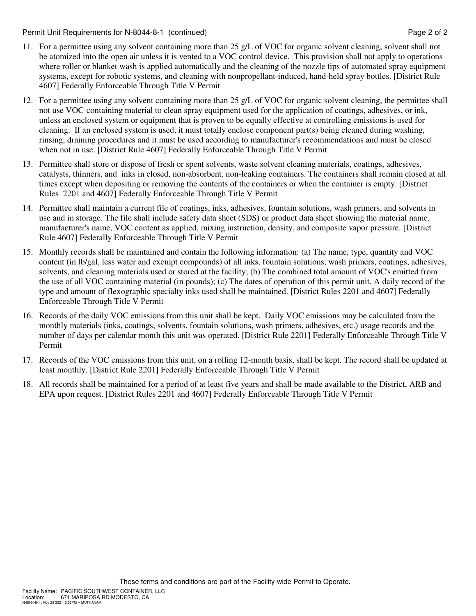Permit Unit Requirements for N-8044-8-1 (continued) **Page 2** of 2

- 11. For a permittee using any solvent containing more than 25 g/L of VOC for organic solvent cleaning, solvent shall not be atomized into the open air unless it is vented to a VOC control device. This provision shall not apply to operations where roller or blanket wash is applied automatically and the cleaning of the nozzle tips of automated spray equipment systems, except for robotic systems, and cleaning with nonpropellant-induced, hand-held spray bottles. [District Rule 4607] Federally Enforceable Through Title V Permit
- 12. For a permittee using any solvent containing more than 25 g/L of VOC for organic solvent cleaning, the permittee shall not use VOC-containing material to clean spray equipment used for the application of coatings, adhesives, or ink, unless an enclosed system or equipment that is proven to be equally effective at controlling emissions is used for cleaning. If an enclosed system is used, it must totally enclose component part(s) being cleaned during washing, rinsing, draining procedures and it must be used according to manufacturer's recommendations and must be closed when not in use. [District Rule 4607] Federally Enforceable Through Title V Permit
- 13. Permittee shall store or dispose of fresh or spent solvents, waste solvent cleaning materials, coatings, adhesives, catalysts, thinners, and inks in closed, non-absorbent, non-leaking containers. The containers shall remain closed at all times except when depositing or removing the contents of the containers or when the container is empty. [District Rules 2201 and 4607] Federally Enforceable Through Title V Permit
- 14. Permittee shall maintain a current file of coatings, inks, adhesives, fountain solutions, wash primers, and solvents in use and in storage. The file shall include safety data sheet (SDS) or product data sheet showing the material name, manufacturer's name, VOC content as applied, mixing instruction, density, and composite vapor pressure. [District Rule 4607] Federally Enforceable Through Title V Permit
- 15. Monthly records shall be maintained and contain the following information: (a) The name, type, quantity and VOC content (in lb/gal, less water and exempt compounds) of all inks, fountain solutions, wash primers, coatings, adhesives, solvents, and cleaning materials used or stored at the facility; (b) The combined total amount of VOC's emitted from the use of all VOC containing material (in pounds); (c) The dates of operation of this permit unit. A daily record of the type and amount of flexographic specialty inks used shall be maintained. [District Rules 2201 and 4607] Federally Enforceable Through Title V Permit
- 16. Records of the daily VOC emissions from this unit shall be kept. Daily VOC emissions may be calculated from the monthly materials (inks, coatings, solvents, fountain solutions, wash primers, adhesives, etc.) usage records and the number of days per calendar month this unit was operated. [District Rule 2201] Federally Enforceable Through Title V Permit
- 17. Records of the VOC emissions from this unit, on a rolling 12-month basis, shall be kept. The record shall be updated at least monthly. [District Rule 2201] Federally Enforceable Through Title V Permit
- 18. All records shall be maintained for a period of at least five years and shall be made available to the District, ARB and EPA upon request. [District Rules 2201 and 4607] Federally Enforceable Through Title V Permit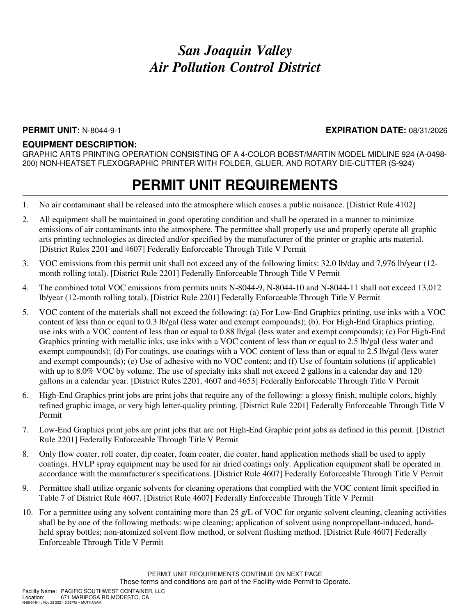#### **PERMIT UNIT:** N-8044-9-1 **EXPIRATION DATE:** 08/31/2026

#### **EQUIPMENT DESCRIPTION:**

GRAPHIC ARTS PRINTING OPERATION CONSISTING OF A 4-COLOR BOBST/MARTIN MODEL MIDLINE 924 (A-0498- 200) NON-HEATSET FLEXOGRAPHIC PRINTER WITH FOLDER, GLUER, AND ROTARY DIE-CUTTER (S-924)

- 1. No air contaminant shall be released into the atmosphere which causes a public nuisance. [District Rule 4102]
- 2. All equipment shall be maintained in good operating condition and shall be operated in a manner to minimize emissions of air contaminants into the atmosphere. The permittee shall properly use and properly operate all graphic arts printing technologies as directed and/or specified by the manufacturer of the printer or graphic arts material. [District Rules 2201 and 4607] Federally Enforceable Through Title V Permit
- 3. VOC emissions from this permit unit shall not exceed any of the following limits: 32.0 lb/day and 7,976 lb/year (12 month rolling total). [District Rule 2201] Federally Enforceable Through Title V Permit
- 4. The combined total VOC emissions from permits units N-8044-9, N-8044-10 and N-8044-11 shall not exceed 13,012 lb/year (12-month rolling total). [District Rule 2201] Federally Enforceable Through Title V Permit
- 5. VOC content of the materials shall not exceed the following: (a) For Low-End Graphics printing, use inks with a VOC content of less than or equal to 0.3 lb/gal (less water and exempt compounds); (b). For High-End Graphics printing, use inks with a VOC content of less than or equal to 0.88 lb/gal (less water and exempt compounds); (c) For High-End Graphics printing with metallic inks, use inks with a VOC content of less than or equal to 2.5 lb/gal (less water and exempt compounds); (d) For coatings, use coatings with a VOC content of less than or equal to 2.5 lb/gal (less water and exempt compounds); (e) Use of adhesive with no VOC content; and (f) Use of fountain solutions (if applicable) with up to 8.0% VOC by volume. The use of specialty inks shall not exceed 2 gallons in a calendar day and 120 gallons in a calendar year. [District Rules 2201, 4607 and 4653] Federally Enforceable Through Title V Permit
- 6. High-End Graphics print jobs are print jobs that require any of the following: a glossy finish, multiple colors, highly refined graphic image, or very high letter-quality printing. [District Rule 2201] Federally Enforceable Through Title V Permit
- 7. Low-End Graphics print jobs are print jobs that are not High-End Graphic print jobs as defined in this permit. [District Rule 2201] Federally Enforceable Through Title V Permit
- 8. Only flow coater, roll coater, dip coater, foam coater, die coater, hand application methods shall be used to apply coatings. HVLP spray equipment may be used for air dried coatings only. Application equipment shall be operated in accordance with the manufacturer's specifications. [District Rule 4607] Federally Enforceable Through Title V Permit
- 9. Permittee shall utilize organic solvents for cleaning operations that complied with the VOC content limit specified in Table 7 of District Rule 4607. [District Rule 4607] Federally Enforceable Through Title V Permit
- 10. For a permittee using any solvent containing more than 25 g/L of VOC for organic solvent cleaning, cleaning activities shall be by one of the following methods: wipe cleaning; application of solvent using nonpropellant-induced, handheld spray bottles; non-atomized solvent flow method, or solvent flushing method. [District Rule 4607] Federally Enforceable Through Title V Permit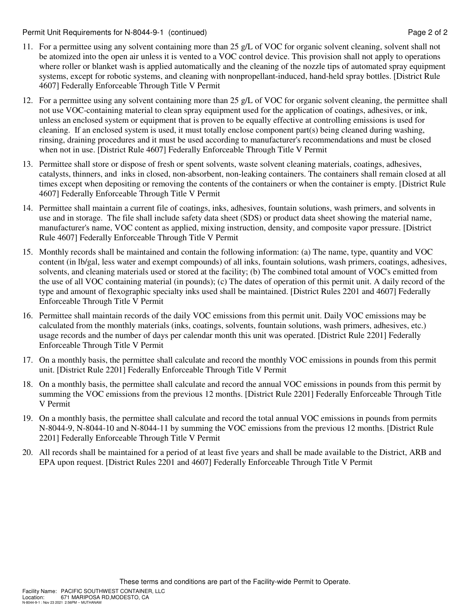Permit Unit Requirements for N-8044-9-1 (continued) **Page 2** of 2

- 11. For a permittee using any solvent containing more than 25 g/L of VOC for organic solvent cleaning, solvent shall not be atomized into the open air unless it is vented to a VOC control device. This provision shall not apply to operations where roller or blanket wash is applied automatically and the cleaning of the nozzle tips of automated spray equipment systems, except for robotic systems, and cleaning with nonpropellant-induced, hand-held spray bottles. [District Rule 4607] Federally Enforceable Through Title V Permit
- 12. For a permittee using any solvent containing more than 25 g/L of VOC for organic solvent cleaning, the permittee shall not use VOC-containing material to clean spray equipment used for the application of coatings, adhesives, or ink, unless an enclosed system or equipment that is proven to be equally effective at controlling emissions is used for cleaning. If an enclosed system is used, it must totally enclose component part(s) being cleaned during washing, rinsing, draining procedures and it must be used according to manufacturer's recommendations and must be closed when not in use. [District Rule 4607] Federally Enforceable Through Title V Permit
- 13. Permittee shall store or dispose of fresh or spent solvents, waste solvent cleaning materials, coatings, adhesives, catalysts, thinners, and inks in closed, non-absorbent, non-leaking containers. The containers shall remain closed at all times except when depositing or removing the contents of the containers or when the container is empty. [District Rule 4607] Federally Enforceable Through Title V Permit
- 14. Permittee shall maintain a current file of coatings, inks, adhesives, fountain solutions, wash primers, and solvents in use and in storage. The file shall include safety data sheet (SDS) or product data sheet showing the material name, manufacturer's name, VOC content as applied, mixing instruction, density, and composite vapor pressure. [District Rule 4607] Federally Enforceable Through Title V Permit
- 15. Monthly records shall be maintained and contain the following information: (a) The name, type, quantity and VOC content (in lb/gal, less water and exempt compounds) of all inks, fountain solutions, wash primers, coatings, adhesives, solvents, and cleaning materials used or stored at the facility; (b) The combined total amount of VOC's emitted from the use of all VOC containing material (in pounds); (c) The dates of operation of this permit unit. A daily record of the type and amount of flexographic specialty inks used shall be maintained. [District Rules 2201 and 4607] Federally Enforceable Through Title V Permit
- 16. Permittee shall maintain records of the daily VOC emissions from this permit unit. Daily VOC emissions may be calculated from the monthly materials (inks, coatings, solvents, fountain solutions, wash primers, adhesives, etc.) usage records and the number of days per calendar month this unit was operated. [District Rule 2201] Federally Enforceable Through Title V Permit
- 17. On a monthly basis, the permittee shall calculate and record the monthly VOC emissions in pounds from this permit unit. [District Rule 2201] Federally Enforceable Through Title V Permit
- 18. On a monthly basis, the permittee shall calculate and record the annual VOC emissions in pounds from this permit by summing the VOC emissions from the previous 12 months. [District Rule 2201] Federally Enforceable Through Title V Permit
- 19. On a monthly basis, the permittee shall calculate and record the total annual VOC emissions in pounds from permits N-8044-9, N-8044-10 and N-8044-11 by summing the VOC emissions from the previous 12 months. [District Rule 2201] Federally Enforceable Through Title V Permit
- 20. All records shall be maintained for a period of at least five years and shall be made available to the District, ARB and EPA upon request. [District Rules 2201 and 4607] Federally Enforceable Through Title V Permit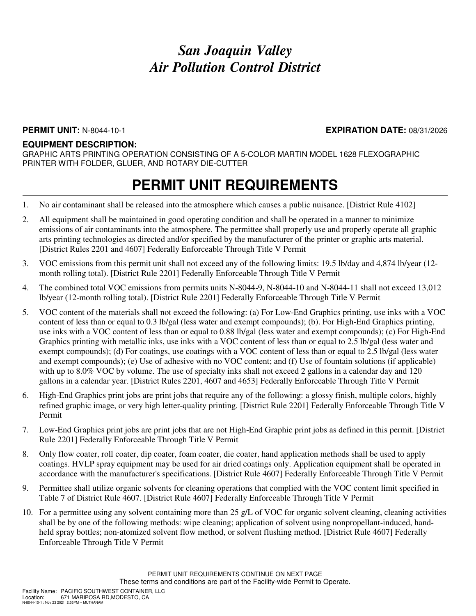### **PERMIT UNIT:** N-8044-10-1 **EXPIRATION DATE:** 08/31/2026

#### **EQUIPMENT DESCRIPTION:**

GRAPHIC ARTS PRINTING OPERATION CONSISTING OF A 5-COLOR MARTIN MODEL 1628 FLEXOGRAPHIC PRINTER WITH FOLDER, GLUER, AND ROTARY DIE-CUTTER

- 1. No air contaminant shall be released into the atmosphere which causes a public nuisance. [District Rule 4102]
- 2. All equipment shall be maintained in good operating condition and shall be operated in a manner to minimize emissions of air contaminants into the atmosphere. The permittee shall properly use and properly operate all graphic arts printing technologies as directed and/or specified by the manufacturer of the printer or graphic arts material. [District Rules 2201 and 4607] Federally Enforceable Through Title V Permit
- 3. VOC emissions from this permit unit shall not exceed any of the following limits: 19.5 lb/day and 4,874 lb/year (12 month rolling total). [District Rule 2201] Federally Enforceable Through Title V Permit
- 4. The combined total VOC emissions from permits units N-8044-9, N-8044-10 and N-8044-11 shall not exceed 13,012 lb/year (12-month rolling total). [District Rule 2201] Federally Enforceable Through Title V Permit
- 5. VOC content of the materials shall not exceed the following: (a) For Low-End Graphics printing, use inks with a VOC content of less than or equal to 0.3 lb/gal (less water and exempt compounds); (b). For High-End Graphics printing, use inks with a VOC content of less than or equal to 0.88 lb/gal (less water and exempt compounds); (c) For High-End Graphics printing with metallic inks, use inks with a VOC content of less than or equal to 2.5 lb/gal (less water and exempt compounds); (d) For coatings, use coatings with a VOC content of less than or equal to 2.5 lb/gal (less water and exempt compounds); (e) Use of adhesive with no VOC content; and (f) Use of fountain solutions (if applicable) with up to 8.0% VOC by volume. The use of specialty inks shall not exceed 2 gallons in a calendar day and 120 gallons in a calendar year. [District Rules 2201, 4607 and 4653] Federally Enforceable Through Title V Permit
- 6. High-End Graphics print jobs are print jobs that require any of the following: a glossy finish, multiple colors, highly refined graphic image, or very high letter-quality printing. [District Rule 2201] Federally Enforceable Through Title V Permit
- 7. Low-End Graphics print jobs are print jobs that are not High-End Graphic print jobs as defined in this permit. [District Rule 2201] Federally Enforceable Through Title V Permit
- 8. Only flow coater, roll coater, dip coater, foam coater, die coater, hand application methods shall be used to apply coatings. HVLP spray equipment may be used for air dried coatings only. Application equipment shall be operated in accordance with the manufacturer's specifications. [District Rule 4607] Federally Enforceable Through Title V Permit
- 9. Permittee shall utilize organic solvents for cleaning operations that complied with the VOC content limit specified in Table 7 of District Rule 4607. [District Rule 4607] Federally Enforceable Through Title V Permit
- 10. For a permittee using any solvent containing more than 25 g/L of VOC for organic solvent cleaning, cleaning activities shall be by one of the following methods: wipe cleaning; application of solvent using nonpropellant-induced, handheld spray bottles; non-atomized solvent flow method, or solvent flushing method. [District Rule 4607] Federally Enforceable Through Title V Permit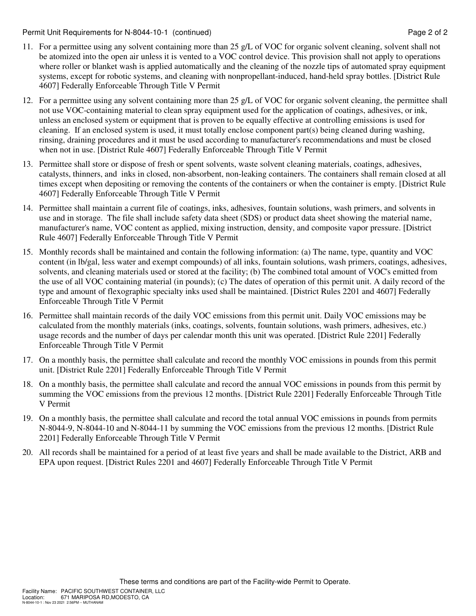Permit Unit Requirements for N-8044-10-1 (continued) example 2 of 2

- 11. For a permittee using any solvent containing more than 25 g/L of VOC for organic solvent cleaning, solvent shall not be atomized into the open air unless it is vented to a VOC control device. This provision shall not apply to operations where roller or blanket wash is applied automatically and the cleaning of the nozzle tips of automated spray equipment systems, except for robotic systems, and cleaning with nonpropellant-induced, hand-held spray bottles. [District Rule 4607] Federally Enforceable Through Title V Permit
- 12. For a permittee using any solvent containing more than 25 g/L of VOC for organic solvent cleaning, the permittee shall not use VOC-containing material to clean spray equipment used for the application of coatings, adhesives, or ink, unless an enclosed system or equipment that is proven to be equally effective at controlling emissions is used for cleaning. If an enclosed system is used, it must totally enclose component part(s) being cleaned during washing, rinsing, draining procedures and it must be used according to manufacturer's recommendations and must be closed when not in use. [District Rule 4607] Federally Enforceable Through Title V Permit
- 13. Permittee shall store or dispose of fresh or spent solvents, waste solvent cleaning materials, coatings, adhesives, catalysts, thinners, and inks in closed, non-absorbent, non-leaking containers. The containers shall remain closed at all times except when depositing or removing the contents of the containers or when the container is empty. [District Rule 4607] Federally Enforceable Through Title V Permit
- 14. Permittee shall maintain a current file of coatings, inks, adhesives, fountain solutions, wash primers, and solvents in use and in storage. The file shall include safety data sheet (SDS) or product data sheet showing the material name, manufacturer's name, VOC content as applied, mixing instruction, density, and composite vapor pressure. [District Rule 4607] Federally Enforceable Through Title V Permit
- 15. Monthly records shall be maintained and contain the following information: (a) The name, type, quantity and VOC content (in lb/gal, less water and exempt compounds) of all inks, fountain solutions, wash primers, coatings, adhesives, solvents, and cleaning materials used or stored at the facility; (b) The combined total amount of VOC's emitted from the use of all VOC containing material (in pounds); (c) The dates of operation of this permit unit. A daily record of the type and amount of flexographic specialty inks used shall be maintained. [District Rules 2201 and 4607] Federally Enforceable Through Title V Permit
- 16. Permittee shall maintain records of the daily VOC emissions from this permit unit. Daily VOC emissions may be calculated from the monthly materials (inks, coatings, solvents, fountain solutions, wash primers, adhesives, etc.) usage records and the number of days per calendar month this unit was operated. [District Rule 2201] Federally Enforceable Through Title V Permit
- 17. On a monthly basis, the permittee shall calculate and record the monthly VOC emissions in pounds from this permit unit. [District Rule 2201] Federally Enforceable Through Title V Permit
- 18. On a monthly basis, the permittee shall calculate and record the annual VOC emissions in pounds from this permit by summing the VOC emissions from the previous 12 months. [District Rule 2201] Federally Enforceable Through Title V Permit
- 19. On a monthly basis, the permittee shall calculate and record the total annual VOC emissions in pounds from permits N-8044-9, N-8044-10 and N-8044-11 by summing the VOC emissions from the previous 12 months. [District Rule 2201] Federally Enforceable Through Title V Permit
- 20. All records shall be maintained for a period of at least five years and shall be made available to the District, ARB and EPA upon request. [District Rules 2201 and 4607] Federally Enforceable Through Title V Permit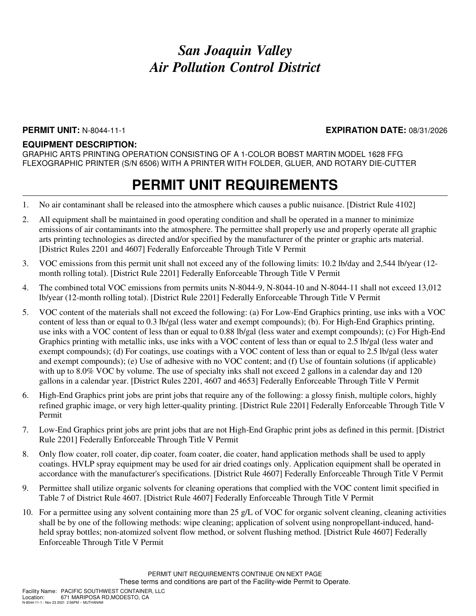### **PERMIT UNIT:** N-8044-11-1 **EXPIRATION DATE:** 08/31/2026

### **EQUIPMENT DESCRIPTION:**

GRAPHIC ARTS PRINTING OPERATION CONSISTING OF A 1-COLOR BOBST MARTIN MODEL 1628 FFG FLEXOGRAPHIC PRINTER (S/N 6506) WITH A PRINTER WITH FOLDER, GLUER, AND ROTARY DIE-CUTTER

- 1. No air contaminant shall be released into the atmosphere which causes a public nuisance. [District Rule 4102]
- 2. All equipment shall be maintained in good operating condition and shall be operated in a manner to minimize emissions of air contaminants into the atmosphere. The permittee shall properly use and properly operate all graphic arts printing technologies as directed and/or specified by the manufacturer of the printer or graphic arts material. [District Rules 2201 and 4607] Federally Enforceable Through Title V Permit
- 3. VOC emissions from this permit unit shall not exceed any of the following limits: 10.2 lb/day and 2,544 lb/year (12 month rolling total). [District Rule 2201] Federally Enforceable Through Title V Permit
- 4. The combined total VOC emissions from permits units N-8044-9, N-8044-10 and N-8044-11 shall not exceed 13,012 lb/year (12-month rolling total). [District Rule 2201] Federally Enforceable Through Title V Permit
- 5. VOC content of the materials shall not exceed the following: (a) For Low-End Graphics printing, use inks with a VOC content of less than or equal to 0.3 lb/gal (less water and exempt compounds); (b). For High-End Graphics printing, use inks with a VOC content of less than or equal to 0.88 lb/gal (less water and exempt compounds); (c) For High-End Graphics printing with metallic inks, use inks with a VOC content of less than or equal to 2.5 lb/gal (less water and exempt compounds); (d) For coatings, use coatings with a VOC content of less than or equal to 2.5 lb/gal (less water and exempt compounds); (e) Use of adhesive with no VOC content; and (f) Use of fountain solutions (if applicable) with up to 8.0% VOC by volume. The use of specialty inks shall not exceed 2 gallons in a calendar day and 120 gallons in a calendar year. [District Rules 2201, 4607 and 4653] Federally Enforceable Through Title V Permit
- 6. High-End Graphics print jobs are print jobs that require any of the following: a glossy finish, multiple colors, highly refined graphic image, or very high letter-quality printing. [District Rule 2201] Federally Enforceable Through Title V Permit
- 7. Low-End Graphics print jobs are print jobs that are not High-End Graphic print jobs as defined in this permit. [District Rule 2201] Federally Enforceable Through Title V Permit
- 8. Only flow coater, roll coater, dip coater, foam coater, die coater, hand application methods shall be used to apply coatings. HVLP spray equipment may be used for air dried coatings only. Application equipment shall be operated in accordance with the manufacturer's specifications. [District Rule 4607] Federally Enforceable Through Title V Permit
- 9. Permittee shall utilize organic solvents for cleaning operations that complied with the VOC content limit specified in Table 7 of District Rule 4607. [District Rule 4607] Federally Enforceable Through Title V Permit
- 10. For a permittee using any solvent containing more than 25 g/L of VOC for organic solvent cleaning, cleaning activities shall be by one of the following methods: wipe cleaning; application of solvent using nonpropellant-induced, handheld spray bottles; non-atomized solvent flow method, or solvent flushing method. [District Rule 4607] Federally Enforceable Through Title V Permit